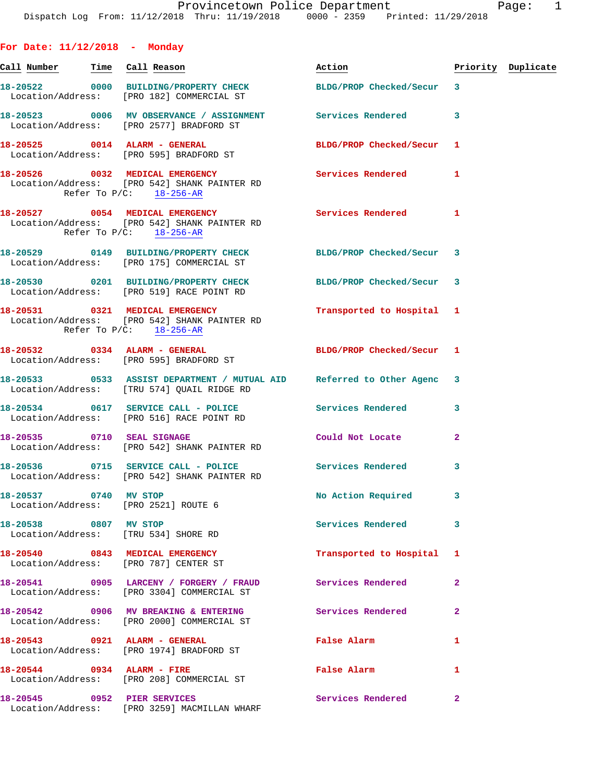| For Date: $11/12/2018$ - Monday |                                                                                                                                   |                                             |                |                    |
|---------------------------------|-----------------------------------------------------------------------------------------------------------------------------------|---------------------------------------------|----------------|--------------------|
|                                 | <u>Call Number — Time Call Reason</u>                                                                                             | Action                                      |                | Priority Duplicate |
|                                 | 18-20522 0000 BUILDING/PROPERTY CHECK BLDG/PROP Checked/Secur 3<br>Location/Address: [PRO 182] COMMERCIAL ST                      |                                             |                |                    |
|                                 | 18-20523 0006 MV OBSERVANCE / ASSIGNMENT Services Rendered<br>Location/Address: [PRO 2577] BRADFORD ST                            |                                             | 3              |                    |
|                                 | 18-20525 0014 ALARM - GENERAL<br>Location/Address: [PRO 595] BRADFORD ST                                                          | BLDG/PROP Checked/Secur 1                   |                |                    |
|                                 | 18-20526 0032 MEDICAL EMERGENCY Services Rendered 1<br>Location/Address: [PRO 542] SHANK PAINTER RD<br>Refer To P/C: 18-256-AR    |                                             |                |                    |
|                                 | 18-20527 0054 MEDICAL EMERGENCY Services Rendered 1<br>Location/Address: [PRO 542] SHANK PAINTER RD<br>Refer To $P/C$ : 18-256-AR |                                             |                |                    |
|                                 | 18-20529 0149 BUILDING/PROPERTY CHECK BLDG/PROP Checked/Secur 3<br>Location/Address: [PRO 175] COMMERCIAL ST                      |                                             |                |                    |
|                                 | 18-20530 0201 BUILDING/PROPERTY CHECK BLDG/PROP Checked/Secur 3<br>Location/Address: [PRO 519] RACE POINT RD                      |                                             |                |                    |
|                                 | 18-20531 0321 MEDICAL EMERGENCY<br>Location/Address: [PRO 542] SHANK PAINTER RD<br>Refer To P/C: 18-256-AR                        | Transported to Hospital 1                   |                |                    |
|                                 | 18-20532 0334 ALARM - GENERAL<br>Location/Address: [PRO 595] BRADFORD ST                                                          | BLDG/PROP Checked/Secur 1                   |                |                    |
|                                 | 18-20533 0533 ASSIST DEPARTMENT / MUTUAL AID Referred to Other Agenc 3<br>Location/Address: [TRU 574] QUAIL RIDGE RD              |                                             |                |                    |
|                                 | 18-20534 0617 SERVICE CALL - POLICE Services Rendered<br>Location/Address: [PRO 516] RACE POINT RD                                |                                             | 3              |                    |
|                                 | 18-20535 0710 SEAL SIGNAGE<br>Location/Address: [PRO 542] SHANK PAINTER RD                                                        | Could Not Locate                            | $\mathbf{2}$   |                    |
|                                 | 18-20536 0715 SERVICE CALL - POLICE Services Rendered<br>Location/Address: [PRO 542] SHANK PAINTER RD                             |                                             | 3              |                    |
| 18-20537 0740 MV STOP           | Location/Address: [PRO 2521] ROUTE 6                                                                                              | No Action Required                          | 3              |                    |
| 18-20538 0807 MV STOP           | Location/Address: [TRU 534] SHORE RD                                                                                              | <b>Services Rendered</b>                    | 3              |                    |
|                                 | 18-20540 0843 MEDICAL EMERGENCY<br>Location/Address: [PRO 787] CENTER ST                                                          | Transported to Hospital                     | 1              |                    |
|                                 | 18-20541 0905 LARCENY / FORGERY / FRAUD Services Rendered<br>Location/Address: [PRO 3304] COMMERCIAL ST                           |                                             | $\overline{a}$ |                    |
|                                 | 18-20542  0906 MV BREAKING & ENTERING  Services Rendered<br>Location/Address: [PRO 2000] COMMERCIAL ST                            |                                             | $\overline{a}$ |                    |
|                                 | 18-20543 0921 ALARM - GENERAL<br>Location/Address: [PRO 1974] BRADFORD ST                                                         | False Alarm                                 | 1              |                    |
| 18-20544 0934 ALARM - FIRE      | Location/Address: [PRO 208] COMMERCIAL ST                                                                                         | False Alarm <b>Exercise Service Service</b> | 1              |                    |
| 18-20545 0952 PIER SERVICES     | Location/Address: [PRO 3259] MACMILLAN WHARF                                                                                      | Services Rendered                           | $\mathbf{2}$   |                    |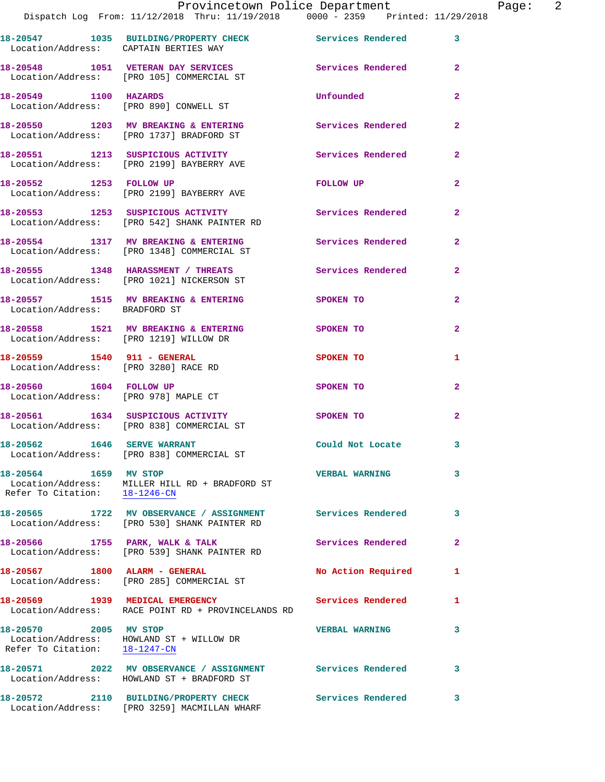|                                                                           | Dispatch Log From: 11/12/2018 Thru: 11/19/2018 0000 - 2359 Printed: 11/29/2018                             |                          |                |
|---------------------------------------------------------------------------|------------------------------------------------------------------------------------------------------------|--------------------------|----------------|
| Location/Address: CAPTAIN BERTIES WAY                                     | 18-20547 1035 BUILDING/PROPERTY CHECK Services Rendered                                                    |                          | 3              |
|                                                                           | 18-20548 1051 VETERAN DAY SERVICES<br>Location/Address: [PRO 105] COMMERCIAL ST                            | Services Rendered        | $\mathbf{2}$   |
| 18-20549 1100 HAZARDS                                                     | Location/Address: [PRO 890] CONWELL ST                                                                     | Unfounded                | $\overline{2}$ |
|                                                                           | 18-20550 1203 MV BREAKING & ENTERING<br>Location/Address: [PRO 1737] BRADFORD ST                           | Services Rendered        | $\mathbf{2}$   |
|                                                                           | 18-20551 1213 SUSPICIOUS ACTIVITY<br>Location/Address: [PRO 2199] BAYBERRY AVE                             | <b>Services Rendered</b> | $\overline{a}$ |
|                                                                           | 18-20552 1253 FOLLOW UP<br>Location/Address: [PRO 2199] BAYBERRY AVE                                       | FOLLOW UP                | $\mathbf{2}$   |
|                                                                           | 18-20553 1253 SUSPICIOUS ACTIVITY<br>Location/Address: [PRO 542] SHANK PAINTER RD                          | Services Rendered        | $\overline{2}$ |
|                                                                           | 18-20554 1317 MV BREAKING & ENTERING Services Rendered<br>Location/Address: [PRO 1348] COMMERCIAL ST       |                          | $\overline{2}$ |
|                                                                           | 18-20555 1348 HARASSMENT / THREATS Services Rendered<br>Location/Address: [PRO 1021] NICKERSON ST          |                          | $\overline{a}$ |
| Location/Address: BRADFORD ST                                             | 18-20557 1515 MV BREAKING & ENTERING SPOKEN TO                                                             |                          | $\mathbf{2}$   |
| Location/Address: [PRO 1219] WILLOW DR                                    | 18-20558 1521 MV BREAKING & ENTERING                                                                       | <b>SPOKEN TO</b>         | $\mathbf{2}$   |
| 18-20559    1540    911 - GENERAL<br>Location/Address: [PRO 3280] RACE RD |                                                                                                            | SPOKEN TO                | 1              |
| 18-20560   1604   FOLLOW UP<br>Location/Address: [PRO 978] MAPLE CT       |                                                                                                            | SPOKEN TO                | $\mathbf{2}$   |
|                                                                           | 18-20561 1634 SUSPICIOUS ACTIVITY<br>Location/Address: [PRO 838] COMMERCIAL ST                             | <b>SPOKEN TO</b>         | $\overline{a}$ |
| 18-20562 1646 SERVE WARRANT                                               | Location/Address: [PRO 838] COMMERCIAL ST                                                                  | Could Not Locate         | 3              |
| 18-20564 1659 MV STOP<br>Refer To Citation: 18-1246-CN                    | Location/Address: MILLER HILL RD + BRADFORD ST                                                             | <b>VERBAL WARNING</b>    | 3              |
|                                                                           | 18-20565 1722 MV OBSERVANCE / ASSIGNMENT Services Rendered<br>Location/Address: [PRO 530] SHANK PAINTER RD |                          | 3              |
|                                                                           | 18-20566 1755 PARK, WALK & TALK<br>Location/Address: [PRO 539] SHANK PAINTER RD                            | Services Rendered        | 2              |
| 18-20567 1800 ALARM - GENERAL                                             | Location/Address: [PRO 285] COMMERCIAL ST                                                                  | No Action Required       | 1              |
|                                                                           | 18-20569 1939 MEDICAL EMERGENCY<br>Location/Address: RACE POINT RD + PROVINCELANDS RD                      | Services Rendered        | 1              |
| 18-20570 2005 MV STOP<br>Refer To Citation: 18-1247-CN                    | Location/Address: HOWLAND ST + WILLOW DR                                                                   | <b>VERBAL WARNING</b>    | 3.             |
|                                                                           | 18-20571 2022 MV OBSERVANCE / ASSIGNMENT Services Rendered<br>Location/Address: HOWLAND ST + BRADFORD ST   |                          | 3              |
|                                                                           | 18-20572 2110 BUILDING/PROPERTY CHECK<br>Location/Address: [PRO 3259] MACMILLAN WHARF                      | <b>Services Rendered</b> | 3              |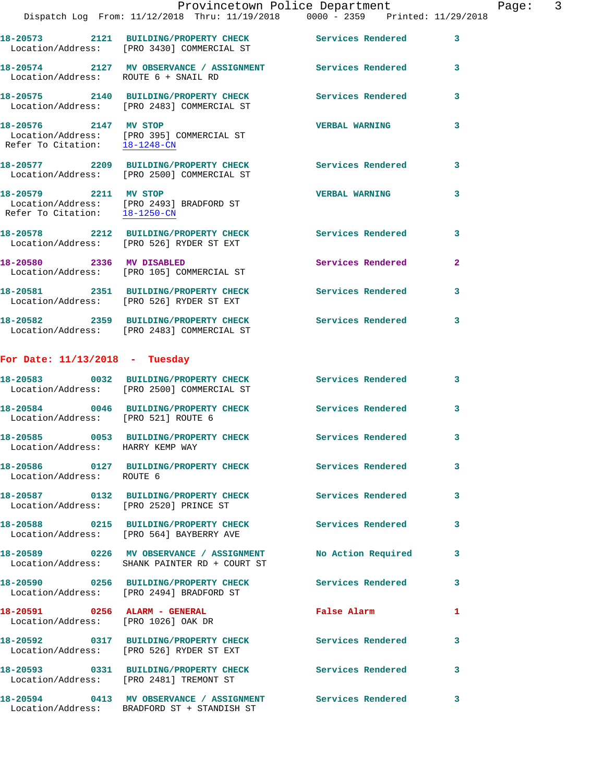**18-20575 2140 BUILDING/PROPERTY CHECK Services Rendered 3**  Location/Address: [PRO 2483] COMMERCIAL ST **18-20576 2147 MV STOP VERBAL WARNING 3**  Location/Address: [PRO 395] COMMERCIAL ST Refer To Citation: 18-1248-CN **18-20577 2209 BUILDING/PROPERTY CHECK Services Rendered 3**  Location/Address: [PRO 2500] COMMERCIAL ST **18-20579 2211 MV STOP VERBAL WARNING 3**  Location/Address: [PRO 2493] BRADFORD ST Refer To Citation: 18-1250-CN

**18-20578 2212 BUILDING/PROPERTY CHECK Services Rendered 3**  Location/Address: [PRO 526] RYDER ST EXT **18-20580 2336 MV DISABLED Services Rendered 2**  Location/Address: [PRO 105] COMMERCIAL ST **18-20581 2351 BUILDING/PROPERTY CHECK Services Rendered 3**  Location/Address: [PRO 526] RYDER ST EXT **18-20582 2359 BUILDING/PROPERTY CHECK Services Rendered 3** 

## **For Date: 11/13/2018 - Tuesday**

Location/Address: [PRO 2483] COMMERCIAL ST

Location/Address: BRADFORD ST + STANDISH ST

|                                                                      | 18-20583 0032 BUILDING/PROPERTY CHECK<br>Location/Address: [PRO 2500] COMMERCIAL ST | <b>Services Rendered</b> | $\overline{\mathbf{3}}$ |
|----------------------------------------------------------------------|-------------------------------------------------------------------------------------|--------------------------|-------------------------|
| Location/Address: [PRO 521] ROUTE 6                                  | 18-20584 0046 BUILDING/PROPERTY CHECK                                               | <b>Services Rendered</b> | $\mathbf{3}$            |
| Location/Address: HARRY KEMP WAY                                     | 18-20585 0053 BUILDING/PROPERTY CHECK                                               | Services Rendered        | $\mathbf{3}$            |
| Location/Address: ROUTE 6                                            | 18-20586 0127 BUILDING/PROPERTY CHECK                                               | <b>Services Rendered</b> | $\mathbf{3}$            |
| Location/Address: [PRO 2520] PRINCE ST                               | 18-20587 0132 BUILDING/PROPERTY CHECK                                               | Services Rendered        | 3                       |
|                                                                      | 18-20588 0215 BUILDING/PROPERTY CHECK<br>Location/Address: [PRO 564] BAYBERRY AVE   | Services Rendered        | 3                       |
|                                                                      | Location/Address: SHANK PAINTER RD + COURT ST                                       | No Action Required       | 3                       |
|                                                                      | 18-20590 0256 BUILDING/PROPERTY CHECK<br>Location/Address: [PRO 2494] BRADFORD ST   | <b>Services Rendered</b> | $\mathbf{3}$            |
| 18-20591 0256 ALARM - GENERAL<br>Location/Address: [PRO 1026] OAK DR |                                                                                     | <b>False Alarm</b>       | 1                       |
|                                                                      | 18-20592 0317 BUILDING/PROPERTY CHECK<br>Location/Address: [PRO 526] RYDER ST EXT   | <b>Services Rendered</b> | $\mathbf{3}$            |
|                                                                      | 18-20593 0331 BUILDING/PROPERTY CHECK<br>Location/Address: [PRO 2481] TREMONT ST    | Services Rendered        | $\mathbf{3}$            |
|                                                                      |                                                                                     |                          |                         |

**18-20594 0413 MV OBSERVANCE / ASSIGNMENT Services Rendered 3**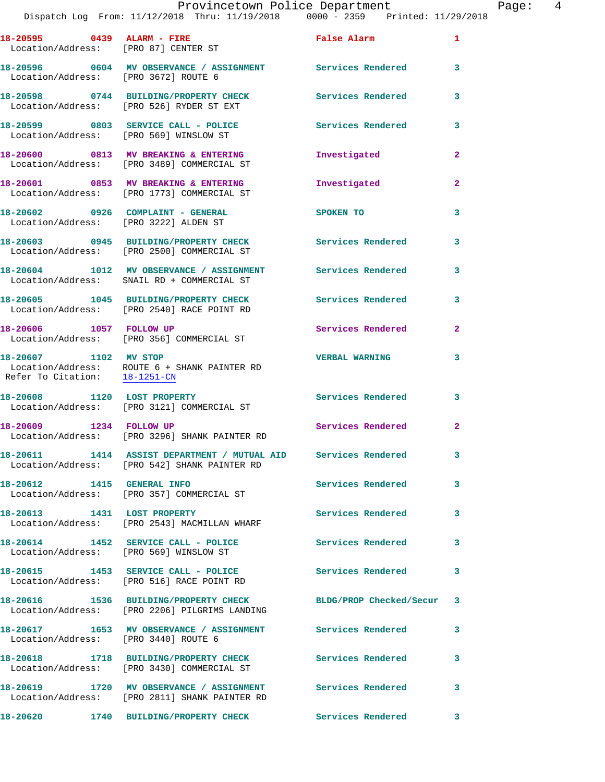| Location/Address: [PRO 87] CENTER ST | 18-20595 0439 ALARM - FIRE                                                                                     | False Alarm               | $\mathbf{1}$            |
|--------------------------------------|----------------------------------------------------------------------------------------------------------------|---------------------------|-------------------------|
|                                      |                                                                                                                |                           | 3                       |
|                                      | 18-20598 0744 BUILDING/PROPERTY CHECK<br>Location/Address: [PRO 526] RYDER ST EXT                              | Services Rendered         | 3                       |
|                                      | 18-20599 0803 SERVICE CALL - POLICE<br>Location/Address: [PRO 569] WINSLOW ST                                  | <b>Services Rendered</b>  | 3                       |
|                                      | 18-20600 0813 MV BREAKING & ENTERING<br>Location/Address: [PRO 3489] COMMERCIAL ST                             | Investigated              | $\mathbf{2}$            |
|                                      | 18-20601 0853 MV BREAKING & ENTERING<br>Location/Address: [PRO 1773] COMMERCIAL ST                             | Investigated              | $\overline{2}$          |
|                                      | 18-20602 0926 COMPLAINT - GENERAL<br>Location/Address: [PRO 3222] ALDEN ST                                     | SPOKEN TO                 | 3                       |
|                                      | 18-20603 0945 BUILDING/PROPERTY CHECK Services Rendered<br>Location/Address: [PRO 2500] COMMERCIAL ST          |                           | $\overline{\mathbf{3}}$ |
|                                      | 18-20604 1012 MV OBSERVANCE / ASSIGNMENT Services Rendered<br>Location/Address: SNAIL RD + COMMERCIAL ST       |                           | 3                       |
|                                      | 18-20605 1045 BUILDING/PROPERTY CHECK<br>Location/Address: [PRO 2540] RACE POINT RD                            | Services Rendered         | 3                       |
|                                      | 18-20606 1057 FOLLOW UP<br>Location/Address: [PRO 356] COMMERCIAL ST                                           | <b>Services Rendered</b>  | $\mathbf{2}$            |
| Refer To Citation: 18-1251-CN        | 18-20607 1102 MV STOP<br>Location/Address: ROUTE 6 + SHANK PAINTER RD                                          | <b>VERBAL WARNING</b>     | 3                       |
|                                      | 18-20608 1120 LOST PROPERTY<br>Location/Address: [PRO 3121] COMMERCIAL ST                                      | <b>Services Rendered</b>  | $\overline{\mathbf{3}}$ |
| 18-20609 1234 FOLLOW UP              | Location/Address: [PRO 3296] SHANK PAINTER RD                                                                  | Services Rendered         | $\mathbf{2}$            |
|                                      | 18-20611 1414 ASSIST DEPARTMENT / MUTUAL AID Services Rendered<br>Location/Address: [PRO 542] SHANK PAINTER RD |                           | 3                       |
| 18-20612 1415 GENERAL INFO           | Location/Address: [PRO 357] COMMERCIAL ST                                                                      | Services Rendered         | $\overline{\mathbf{3}}$ |
| 18-20613 1431 LOST PROPERTY          | Location/Address: [PRO 2543] MACMILLAN WHARF                                                                   | <b>Services Rendered</b>  | 3                       |
|                                      | 18-20614 1452 SERVICE CALL - POLICE<br>Location/Address: [PRO 569] WINSLOW ST                                  | <b>Services Rendered</b>  | $\overline{\mathbf{3}}$ |
|                                      | 18-20615 1453 SERVICE CALL - POLICE<br>Location/Address: [PRO 516] RACE POINT RD                               | <b>Services Rendered</b>  | $\mathbf{3}$            |
|                                      | 18-20616 1536 BUILDING/PROPERTY CHECK<br>Location/Address: [PRO 2206] PILGRIMS LANDING                         | BLDG/PROP Checked/Secur 3 |                         |
| Location/Address: [PRO 3440] ROUTE 6 | 18-20617 1653 MV OBSERVANCE / ASSIGNMENT Services Rendered                                                     |                           | 3                       |
|                                      | 18-20618 1718 BUILDING/PROPERTY CHECK<br>Location/Address: [PRO 3430] COMMERCIAL ST                            | <b>Services Rendered</b>  | 3                       |
|                                      | 18-20619 1720 MV OBSERVANCE / ASSIGNMENT Services Rendered<br>Location/Address: [PRO 2811] SHANK PAINTER RD    |                           | $\overline{\mathbf{3}}$ |
|                                      | 18-20620 1740 BUILDING/PROPERTY CHECK                                                                          | <b>Services Rendered</b>  | 3                       |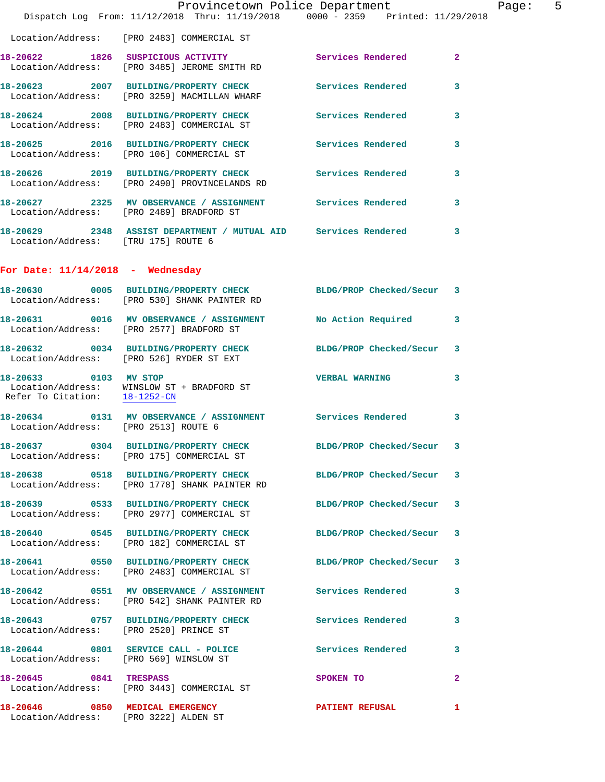|                                                                          | Provincetown Police Department<br>Dispatch Log From: 11/12/2018 Thru: 11/19/2018 0000 - 2359 Printed: 11/29/2018 |                          | - Pa           |  |
|--------------------------------------------------------------------------|------------------------------------------------------------------------------------------------------------------|--------------------------|----------------|--|
|                                                                          | Location/Address: [PRO 2483] COMMERCIAL ST                                                                       |                          |                |  |
|                                                                          | 18-20622 1826 SUSPICIOUS ACTIVITY<br>Location/Address: [PRO 3485] JEROME SMITH RD                                | Services Rendered        | $\overline{2}$ |  |
|                                                                          | 18-20623 2007 BUILDING/PROPERTY CHECK Services Rendered<br>Location/Address: [PRO 3259] MACMILLAN WHARF          |                          | 3              |  |
|                                                                          | 18-20624 2008 BUILDING/PROPERTY CHECK Services Rendered<br>Location/Address: [PRO 2483] COMMERCIAL ST            |                          | 3              |  |
|                                                                          | 18-20625 2016 BUILDING/PROPERTY CHECK Services Rendered<br>Location/Address: [PRO 106] COMMERCIAL ST             |                          | 3              |  |
|                                                                          | 18-20626 2019 BUILDING/PROPERTY CHECK Services Rendered<br>Location/Address: [PRO 2490] PROVINCELANDS RD         |                          | 3              |  |
|                                                                          | 18-20627 2325 MV OBSERVANCE / ASSIGNMENT Services Rendered<br>Location/Address: [PRO 2489] BRADFORD ST           |                          | 3              |  |
| Location/Address: [TRU 175] ROUTE 6                                      | 18-20629 2348 ASSIST DEPARTMENT / MUTUAL AID Services Rendered                                                   |                          | 3              |  |
| For Date: $11/14/2018$ - Wednesday                                       |                                                                                                                  |                          |                |  |
|                                                                          | 18-20630 0005 BUILDING/PROPERTY CHECK BLDG/PROP Checked/Secur 3<br>Location/Address: [PRO 530] SHANK PAINTER RD  |                          |                |  |
|                                                                          | 18-20631 0016 MV OBSERVANCE / ASSIGNMENT No Action Required<br>Location/Address: [PRO 2577] BRADFORD ST          |                          | 3              |  |
|                                                                          | 18-20632 0034 BUILDING/PROPERTY CHECK BLDG/PROP Checked/Secur<br>Location/Address: [PRO 526] RYDER ST EXT        |                          | 3              |  |
| Refer To Citation: 18-1252-CN                                            | 18-20633 0103 MV STOP<br>Location/Address: WINSLOW ST + BRADFORD ST                                              | <b>VERBAL WARNING</b>    | 3              |  |
| Location/Address: [PRO 2513] ROUTE 6                                     | 18-20634 0131 MV OBSERVANCE / ASSIGNMENT Services Rendered                                                       |                          | 3              |  |
|                                                                          | 18-20637 0304 BUILDING/PROPERTY CHECK<br>Location/Address: [PRO 175] COMMERCIAL ST                               | BLDG/PROP Checked/Secur  | 3              |  |
|                                                                          | 18-20638 0518 BUILDING/PROPERTY CHECK BLDG/PROP Checked/Secur<br>Location/Address: [PRO 1778] SHANK PAINTER RD   |                          | 3              |  |
|                                                                          | 18-20639 0533 BUILDING/PROPERTY CHECK BLDG/PROP Checked/Secur<br>Location/Address: [PRO 2977] COMMERCIAL ST      |                          | 3              |  |
|                                                                          | 18-20640 0545 BUILDING/PROPERTY CHECK BLDG/PROP Checked/Secur<br>Location/Address: [PRO 182] COMMERCIAL ST       |                          | 3              |  |
|                                                                          | 18-20641 0550 BUILDING/PROPERTY CHECK<br>Location/Address: [PRO 2483] COMMERCIAL ST                              | BLDG/PROP Checked/Secur  | 3              |  |
|                                                                          | 18-20642 0551 MV OBSERVANCE / ASSIGNMENT Services Rendered<br>Location/Address: [PRO 542] SHANK PAINTER RD       |                          | 3              |  |
|                                                                          |                                                                                                                  |                          | 3              |  |
| Location/Address: [PRO 569] WINSLOW ST                                   | 18-20644 0801 SERVICE CALL - POLICE                                                                              | <b>Services Rendered</b> | 3              |  |
| 18-20645 0841 TRESPASS                                                   | Location/Address: [PRO 3443] COMMERCIAL ST                                                                       | <b>SPOKEN TO</b>         | $\overline{2}$ |  |
| 18-20646 0850 MEDICAL EMERGENCY<br>Location/Address: [PRO 3222] ALDEN ST |                                                                                                                  | <b>PATIENT REFUSAL</b>   | 1              |  |

age: 5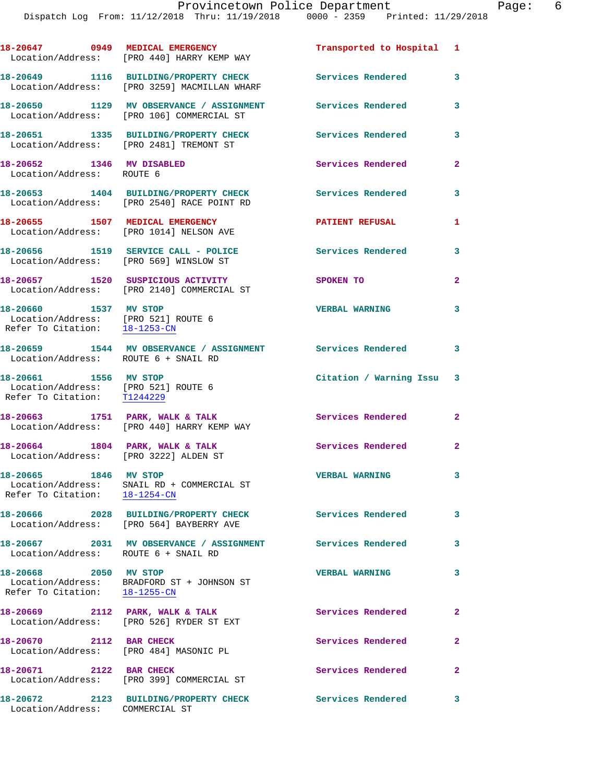|                                                                                               | 18-20647 0949 MEDICAL EMERGENCY<br>Location/Address: [PRO 440] HARRY KEMP WAY         | Transported to Hospital 1 |                            |
|-----------------------------------------------------------------------------------------------|---------------------------------------------------------------------------------------|---------------------------|----------------------------|
|                                                                                               | 18-20649 1116 BUILDING/PROPERTY CHECK<br>Location/Address: [PRO 3259] MACMILLAN WHARF | Services Rendered         | $\overline{\phantom{a}}$ 3 |
|                                                                                               | 18-20650 1129 MV OBSERVANCE / ASSIGNMENT<br>Location/Address: [PRO 106] COMMERCIAL ST | <b>Services Rendered</b>  | 3                          |
|                                                                                               | 18-20651 1335 BUILDING/PROPERTY CHECK<br>Location/Address: [PRO 2481] TREMONT ST      | Services Rendered 3       |                            |
| 18-20652 1346 MV DISABLED<br>Location/Address: ROUTE 6                                        |                                                                                       | Services Rendered         | $\mathbf{2}$               |
|                                                                                               | 18-20653 1404 BUILDING/PROPERTY CHECK<br>Location/Address: [PRO 2540] RACE POINT RD   | Services Rendered 3       |                            |
|                                                                                               | 18-20655 1507 MEDICAL EMERGENCY<br>Location/Address: [PRO 1014] NELSON AVE            | <b>PATIENT REFUSAL</b>    | 1                          |
| Location/Address: [PRO 569] WINSLOW ST                                                        | 18-20656 1519 SERVICE CALL - POLICE                                                   | <b>Services Rendered</b>  | 3                          |
|                                                                                               | 18-20657 1520 SUSPICIOUS ACTIVITY<br>Location/Address: [PRO 2140] COMMERCIAL ST       | SPOKEN TO                 | $\overline{a}$             |
| 18-20660 1537 MV STOP<br>Location/Address: [PRO 521] ROUTE 6<br>Refer To Citation: 18-1253-CN |                                                                                       | <b>VERBAL WARNING</b>     | 3                          |
| Location/Address: ROUTE 6 + SNAIL RD                                                          | 18-20659 1544 MV OBSERVANCE / ASSIGNMENT Services Rendered 3                          |                           |                            |
| 18-20661 1556 MV STOP<br>Location/Address: [PRO 521] ROUTE 6<br>Refer To Citation: T1244229   |                                                                                       | Citation / Warning Issu 3 |                            |
|                                                                                               | 18-20663 1751 PARK, WALK & TALK<br>Location/Address: [PRO 440] HARRY KEMP WAY         | Services Rendered 2       |                            |
| Location/Address: [PRO 3222] ALDEN ST                                                         | 18-20664 1804 PARK, WALK & TALK                                                       | Services Rendered 2       |                            |
| 18-20665 1846 MV STOP<br>Refer To Citation: 18-1254-CN                                        | Location/Address: SNAIL RD + COMMERCIAL ST                                            | <b>VERBAL WARNING</b>     |                            |
|                                                                                               | 18-20666 2028 BUILDING/PROPERTY CHECK<br>Location/Address: [PRO 564] BAYBERRY AVE     | Services Rendered         | 3                          |
| Location/Address: ROUTE 6 + SNAIL RD                                                          | 18-20667 2031 MV OBSERVANCE / ASSIGNMENT Services Rendered                            |                           | $\mathbf{3}$               |
| 18-20668 2050 MV STOP                                                                         | Location/Address: BRADFORD ST + JOHNSON ST<br>Refer To Citation: 18-1255-CN           | <b>VERBAL WARNING</b>     | 3                          |
|                                                                                               | 18-20669 2112 PARK, WALK & TALK<br>Location/Address: [PRO 526] RYDER ST EXT           | Services Rendered         | $\mathbf{2}$               |
| 18-20670 2112 BAR CHECK<br>Location/Address: [PRO 484] MASONIC PL                             |                                                                                       | Services Rendered         | $\mathbf{2}$               |
| 18-20671 2122 BAR CHECK                                                                       | Location/Address: [PRO 399] COMMERCIAL ST                                             | Services Rendered         | $\mathbf{2}$               |
| Location/Address: COMMERCIAL ST                                                               | 18-20672 2123 BUILDING/PROPERTY CHECK                                                 | <b>Services Rendered</b>  | 3                          |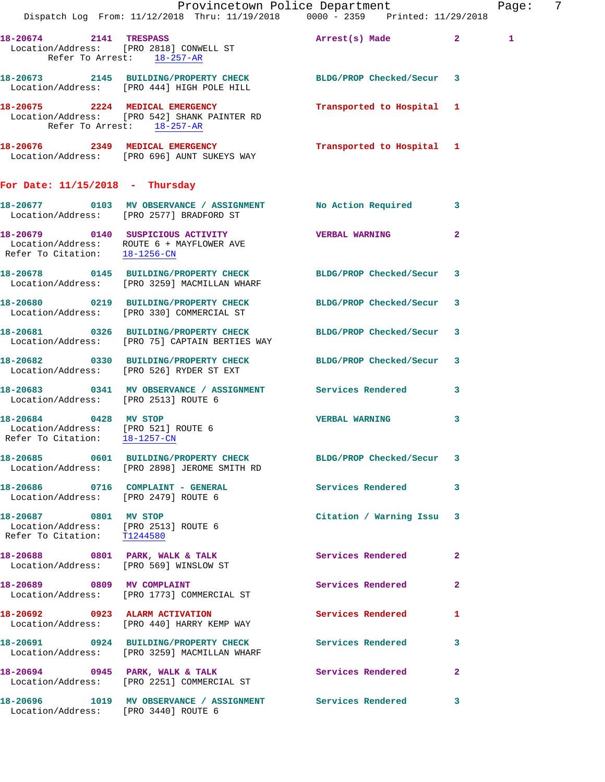|                                                                                               | Provincetown Police Department<br>Dispatch Log From: 11/12/2018 Thru: 11/19/2018 0000 - 2359 Printed: 11/29/2018                          |                           |                | Page: | -7 |
|-----------------------------------------------------------------------------------------------|-------------------------------------------------------------------------------------------------------------------------------------------|---------------------------|----------------|-------|----|
| Refer To Arrest: 18-257-AR                                                                    | 18-20674 2141 TRESPASS<br>Location/Address: [PRO 2818] CONWELL ST                                                                         | Arrest(s) Made 2          |                | 1     |    |
|                                                                                               | 18-20673 2145 BUILDING/PROPERTY CHECK BLDG/PROP Checked/Secur 3<br>Location/Address: [PRO 444] HIGH POLE HILL                             |                           |                |       |    |
| Refer To Arrest: 18-257-AR                                                                    | 18-20675 2224 MEDICAL EMERGENCY<br>Location/Address: [PRO 542] SHANK PAINTER RD                                                           | Transported to Hospital 1 |                |       |    |
|                                                                                               | 18-20676 2349 MEDICAL EMERGENCY Transported to Hospital 1<br>Location/Address: [PRO 696] AUNT SUKEYS WAY                                  |                           |                |       |    |
| For Date: $11/15/2018$ - Thursday                                                             |                                                                                                                                           |                           |                |       |    |
|                                                                                               | 18-20677 0103 MV OBSERVANCE / ASSIGNMENT No Action Required 3<br>Location/Address: [PRO 2577] BRADFORD ST                                 |                           |                |       |    |
|                                                                                               | 18-20679  0140  SUSPICIOUS ACTIVITY   VERBAL WARNING<br>Location/Address: ROUTE 6 + MAYFLOWER AVE<br>Refer To Citation: <u>18-1256-CN</u> |                           | $\overline{2}$ |       |    |
|                                                                                               | 18-20678 0145 BUILDING/PROPERTY CHECK BLDG/PROP Checked/Secur 3<br>Location/Address: [PRO 3259] MACMILLAN WHARF                           |                           |                |       |    |
|                                                                                               | 18-20680 0219 BUILDING/PROPERTY CHECK BLDG/PROP Checked/Secur 3<br>Location/Address: [PRO 330] COMMERCIAL ST                              |                           |                |       |    |
|                                                                                               | 18-20681 0326 BUILDING/PROPERTY CHECK BLDG/PROP Checked/Secur 3<br>Location/Address: [PRO 75] CAPTAIN BERTIES WAY                         |                           |                |       |    |
|                                                                                               | 18-20682 0330 BUILDING/PROPERTY CHECK BLDG/PROP Checked/Secur 3<br>Location/Address: [PRO 526] RYDER ST EXT                               |                           |                |       |    |
| Location/Address: [PRO 2513] ROUTE 6                                                          | 18-20683 0341 MV OBSERVANCE / ASSIGNMENT Services Rendered 3                                                                              |                           |                |       |    |
| 18-20684 0428 MV STOP<br>Location/Address: [PRO 521] ROUTE 6<br>Refer To Citation: 18-1257-CN |                                                                                                                                           | <b>VERBAL WARNING</b>     | 3              |       |    |
|                                                                                               | 18-20685 0601 BUILDING/PROPERTY CHECK<br>Location/Address: [PRO 2898] JEROME SMITH RD                                                     | BLDG/PROP Checked/Secur 3 |                |       |    |
| Location/Address: [PRO 2479] ROUTE 6                                                          | 18-20686 0716 COMPLAINT - GENERAL                                                                                                         | Services Rendered 3       |                |       |    |
| 18-20687 0801 MV STOP<br>Location/Address: [PRO 2513] ROUTE 6<br>Refer To Citation: T1244580  |                                                                                                                                           | Citation / Warning Issu 3 |                |       |    |
| Location/Address: [PRO 569] WINSLOW ST                                                        | 18-20688 0801 PARK, WALK & TALK                                                                                                           | Services Rendered         | $\mathbf{2}$   |       |    |
|                                                                                               | 18-20689 0809 MV COMPLAINT<br>Location/Address: [PRO 1773] COMMERCIAL ST                                                                  | Services Rendered         | $\mathbf{2}$   |       |    |
|                                                                                               | 18-20692 0923 ALARM ACTIVATION<br>Location/Address: [PRO 440] HARRY KEMP WAY                                                              | Services Rendered         | 1              |       |    |
|                                                                                               | 18-20691 0924 BUILDING/PROPERTY CHECK Services Rendered<br>Location/Address: [PRO 3259] MACMILLAN WHARF                                   |                           | 3              |       |    |
|                                                                                               | 18-20694 0945 PARK, WALK & TALK<br>Location/Address: [PRO 2251] COMMERCIAL ST                                                             | <b>Services Rendered</b>  | $\mathbf{2}$   |       |    |
| Location/Address: [PRO 3440] ROUTE 6                                                          | 18-20696 1019 MV OBSERVANCE / ASSIGNMENT Services Rendered                                                                                |                           | 3              |       |    |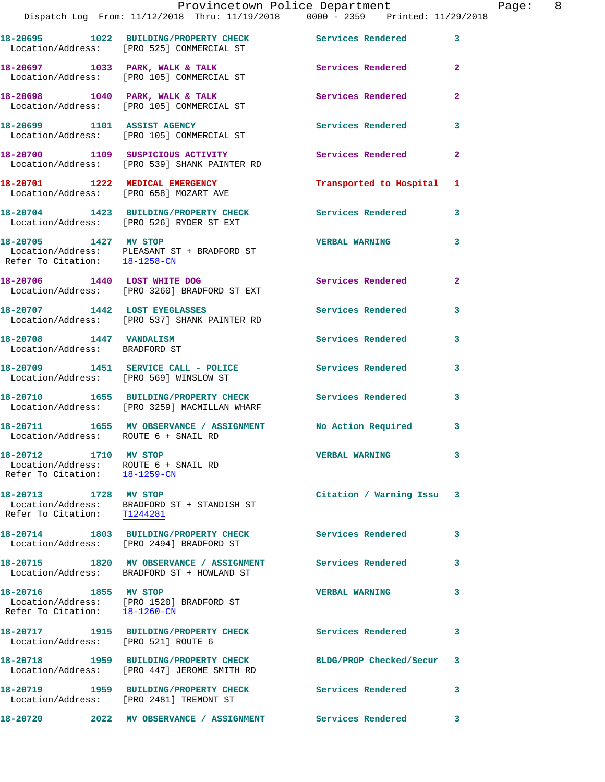|                                                                                                             | Provincetown Police Department<br>Dispatch Log From: 11/12/2018 Thru: 11/19/2018 0000 - 2359 Printed: 11/29/2018 |                          |              |
|-------------------------------------------------------------------------------------------------------------|------------------------------------------------------------------------------------------------------------------|--------------------------|--------------|
|                                                                                                             | 18-20695 1022 BUILDING/PROPERTY CHECK<br>Location/Address: [PRO 525] COMMERCIAL ST                               | Services Rendered        | 3            |
|                                                                                                             | 18-20697 1033 PARK, WALK & TALK<br>Location/Address: [PRO 105] COMMERCIAL ST                                     | <b>Services Rendered</b> | $\mathbf{2}$ |
|                                                                                                             | 18-20698 1040 PARK, WALK & TALK<br>Location/Address: [PRO 105] COMMERCIAL ST                                     | Services Rendered        | 2            |
|                                                                                                             | 18-20699 1101 ASSIST AGENCY<br>Location/Address: [PRO 105] COMMERCIAL ST                                         | Services Rendered        | 3            |
|                                                                                                             | 18-20700 1109 SUSPICIOUS ACTIVITY<br>Location/Address: [PRO 539] SHANK PAINTER RD                                | <b>Services Rendered</b> | $\mathbf{2}$ |
| 18-20701 1222 MEDICAL EMERGENCY<br>Location/Address: [PRO 658] MOZART AVE                                   |                                                                                                                  | Transported to Hospital  | 1            |
|                                                                                                             | 18-20704 1423 BUILDING/PROPERTY CHECK<br>Location/Address: [PRO 526] RYDER ST EXT                                | <b>Services Rendered</b> | 3            |
| 18-20705 1427 MV STOP                                                                                       | Location/Address: PLEASANT ST + BRADFORD ST<br>Refer To Citation: $\frac{18-1258-CN}{18-1258-CN}$                | <b>VERBAL WARNING</b>    | 3            |
| 18-20706 1440 LOST WHITE DOG                                                                                | Location/Address: [PRO 3260] BRADFORD ST EXT                                                                     | <b>Services Rendered</b> | $\mathbf{2}$ |
|                                                                                                             | 18-20707 1442 LOST EYEGLASSES<br>Location/Address: [PRO 537] SHANK PAINTER RD                                    | Services Rendered        | 3            |
| 18-20708 1447 VANDALISM<br>Location/Address: BRADFORD ST                                                    |                                                                                                                  | Services Rendered        | 3            |
| Location/Address: [PRO 569] WINSLOW ST                                                                      | 18-20709 1451 SERVICE CALL - POLICE                                                                              | <b>Services Rendered</b> | 3            |
|                                                                                                             | 18-20710 1655 BUILDING/PROPERTY CHECK<br>Location/Address: [PRO 3259] MACMILLAN WHARF                            | <b>Services Rendered</b> | 3            |
| Location/Address: ROUTE 6 + SNAIL RD                                                                        | 18-20711 1655 MV OBSERVANCE / ASSIGNMENT No Action Required                                                      |                          | 3            |
| 18-20712 1710 MV STOP<br>Location/Address: ROUTE 6 + SNAIL RD<br>Refer To Citation: $\frac{18-1259-CN}{28}$ |                                                                                                                  | <b>VERBAL WARNING</b>    | 3            |
| 18-20713 1728 MV STOP<br>Refer To Citation: T1244281                                                        | Location/Address: BRADFORD ST + STANDISH ST                                                                      | Citation / Warning Issu  | 3            |
|                                                                                                             | 18-20714 1803 BUILDING/PROPERTY CHECK<br>Location/Address: [PRO 2494] BRADFORD ST                                | <b>Services Rendered</b> | 3            |
|                                                                                                             | 18-20715 1820 MV OBSERVANCE / ASSIGNMENT<br>Location/Address: BRADFORD ST + HOWLAND ST                           | Services Rendered        | 3            |
| 18-20716 1855 MV STOP<br>Refer To Citation: 18-1260-CN                                                      | Location/Address: [PRO 1520] BRADFORD ST                                                                         | <b>VERBAL WARNING</b>    | 3            |
| 18-20717<br>Location/Address: [PRO 521] ROUTE 6                                                             | 1915 BUILDING/PROPERTY CHECK                                                                                     | <b>Services Rendered</b> | 3            |
|                                                                                                             | 18-20718 1959 BUILDING/PROPERTY CHECK<br>Location/Address: [PRO 447] JEROME SMITH RD                             | BLDG/PROP Checked/Secur  | 3            |
|                                                                                                             | 18-20719 1959 BUILDING/PROPERTY CHECK<br>Location/Address: [PRO 2481] TREMONT ST                                 | Services Rendered        | 3            |
| 18-20720                                                                                                    | 2022 MV OBSERVANCE / ASSIGNMENT                                                                                  | <b>Services Rendered</b> | 3            |

Page: 8<br>18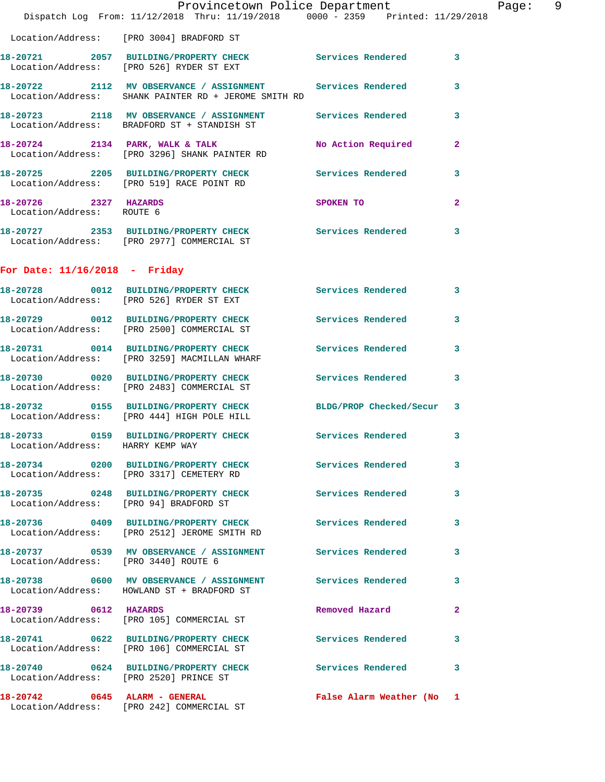|                                                    | Provincetown Police Department<br>Dispatch Log From: 11/12/2018 Thru: 11/19/2018 0000 - 2359 Printed: 11/29/2018     |                           |              | Page: 9 |  |
|----------------------------------------------------|----------------------------------------------------------------------------------------------------------------------|---------------------------|--------------|---------|--|
|                                                    | Location/Address: [PRO 3004] BRADFORD ST                                                                             |                           |              |         |  |
|                                                    | 18-20721 2057 BUILDING/PROPERTY CHECK Services Rendered 3<br>Location/Address: [PRO 526] RYDER ST EXT                |                           |              |         |  |
|                                                    | 18-20722 2112 MV OBSERVANCE / ASSIGNMENT Services Rendered 3<br>Location/Address: SHANK PAINTER RD + JEROME SMITH RD |                           |              |         |  |
|                                                    | 18-20723 2118 MV OBSERVANCE / ASSIGNMENT Services Rendered 3<br>Location/Address: BRADFORD ST + STANDISH ST          |                           |              |         |  |
|                                                    | 18-20724 2134 PARK, WALK & TALK<br>Location/Address: [PRO 3296] SHANK PAINTER RD                                     | No Action Required        | $\mathbf{2}$ |         |  |
|                                                    | 18-20725 2205 BUILDING/PROPERTY CHECK Services Rendered 3<br>Location/Address: [PRO 519] RACE POINT RD               |                           |              |         |  |
| 18-20726 2327 HAZARDS<br>Location/Address: ROUTE 6 |                                                                                                                      | SPOKEN TO                 | $\mathbf{2}$ |         |  |
|                                                    | 18-20727 2353 BUILDING/PROPERTY CHECK Services Rendered 3<br>Location/Address: [PRO 2977] COMMERCIAL ST              |                           |              |         |  |
| For Date: $11/16/2018$ - Friday                    |                                                                                                                      |                           |              |         |  |
|                                                    | 18-20728 0012 BUILDING/PROPERTY CHECK Services Rendered 3<br>Location/Address: [PRO 526] RYDER ST EXT                |                           |              |         |  |
|                                                    | 18-20729 0012 BUILDING/PROPERTY CHECK Services Rendered 3<br>Location/Address: [PRO 2500] COMMERCIAL ST              |                           |              |         |  |
|                                                    | 18-20731 0014 BUILDING/PROPERTY CHECK Services Rendered 3<br>Location/Address: [PRO 3259] MACMILLAN WHARF            |                           |              |         |  |
|                                                    | 18-20730 0020 BUILDING/PROPERTY CHECK Services Rendered 3<br>Location/Address: [PRO 2483] COMMERCIAL ST              |                           |              |         |  |
|                                                    | 18-20732 0155 BUILDING/PROPERTY CHECK BLDG/PROP Checked/Secur 3<br>Location/Address: [PRO 444] HIGH POLE HILL        |                           |              |         |  |
| Location/Address: HARRY KEMP WAY                   | 18-20733 0159 BUILDING/PROPERTY CHECK Services Rendered 3                                                            |                           |              |         |  |
|                                                    | 18-20734 0200 BUILDING/PROPERTY CHECK Services Rendered 3<br>Location/Address: [PRO 3317] CEMETERY RD                |                           |              |         |  |
|                                                    | 18-20735 0248 BUILDING/PROPERTY CHECK Services Rendered 3<br>Location/Address: [PRO 94] BRADFORD ST                  |                           |              |         |  |
|                                                    | 18-20736 0409 BUILDING/PROPERTY CHECK Services Rendered 3<br>Location/Address: [PRO 2512] JEROME SMITH RD            |                           |              |         |  |
| Location/Address: [PRO 3440] ROUTE 6               | 18-20737 0539 MV OBSERVANCE / ASSIGNMENT Services Rendered 3                                                         |                           |              |         |  |
|                                                    | 18-20738 0600 MV OBSERVANCE / ASSIGNMENT Services Rendered 3<br>Location/Address: HOWLAND ST + BRADFORD ST           |                           |              |         |  |
| 18-20739 0612 HAZARDS                              | Location/Address: [PRO 105] COMMERCIAL ST                                                                            | Removed Hazard            | $\mathbf{2}$ |         |  |
|                                                    | 18-20741 0622 BUILDING/PROPERTY CHECK Services Rendered 3<br>Location/Address: [PRO 106] COMMERCIAL ST               |                           |              |         |  |
|                                                    | 18-20740 0624 BUILDING/PROPERTY CHECK Services Rendered 3<br>Location/Address: [PRO 2520] PRINCE ST                  |                           |              |         |  |
|                                                    | 18-20742 0645 ALARM - GENERAL<br>Location/Address: [PRO 242] COMMERCIAL ST                                           | False Alarm Weather (No 1 |              |         |  |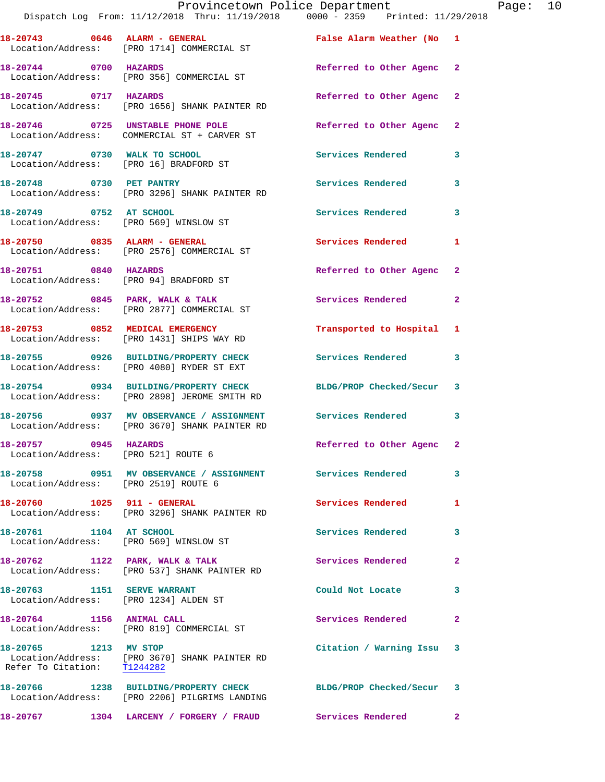|                                                                      | Provincetown Police Department<br>Dispatch Log From: 11/12/2018 Thru: 11/19/2018 0000 - 2359 Printed: 11/29/2018 |                           |                |
|----------------------------------------------------------------------|------------------------------------------------------------------------------------------------------------------|---------------------------|----------------|
|                                                                      | 18-20743 0646 ALARM - GENERAL<br>Location/Address: [PRO 1714] COMMERCIAL ST                                      | False Alarm Weather (No   | 1              |
| 18-20744 0700 HAZARDS                                                | Location/Address: [PRO 356] COMMERCIAL ST                                                                        | Referred to Other Agenc   | 2              |
| 18-20745 0717 HAZARDS                                                | Location/Address: [PRO 1656] SHANK PAINTER RD                                                                    | Referred to Other Agenc   | $\mathbf{2}$   |
|                                                                      | 18-20746 0725 UNSTABLE PHONE POLE<br>Location/Address: COMMERCIAL ST + CARVER ST                                 | Referred to Other Agenc   | $\mathbf{2}$   |
| 18-20747 0730 WALK TO SCHOOL                                         | Location/Address: [PRO 16] BRADFORD ST                                                                           | <b>Services Rendered</b>  | 3              |
|                                                                      | 18-20748 0730 PET PANTRY<br>Location/Address: [PRO 3296] SHANK PAINTER RD                                        | <b>Services Rendered</b>  | 3              |
| 18-20749 0752 AT SCHOOL                                              | Location/Address: [PRO 569] WINSLOW ST                                                                           | Services Rendered         | 3              |
|                                                                      | 18-20750 0835 ALARM - GENERAL<br>Location/Address: [PRO 2576] COMMERCIAL ST                                      | <b>Services Rendered</b>  | 1              |
| 18-20751 0840 HAZARDS                                                | Location/Address: [PRO 94] BRADFORD ST                                                                           | Referred to Other Agenc   | $\overline{2}$ |
|                                                                      | 18-20752 0845 PARK, WALK & TALK<br>Location/Address: [PRO 2877] COMMERCIAL ST                                    | Services Rendered         | 2              |
|                                                                      | 18-20753 0852 MEDICAL EMERGENCY<br>Location/Address: [PRO 1431] SHIPS WAY RD                                     | Transported to Hospital   | 1              |
|                                                                      | 18-20755 0926 BUILDING/PROPERTY CHECK<br>Location/Address: [PRO 4080] RYDER ST EXT                               | Services Rendered         | 3              |
|                                                                      | 18-20754 0934 BUILDING/PROPERTY CHECK<br>Location/Address: [PRO 2898] JEROME SMITH RD                            | BLDG/PROP Checked/Secur   | 3              |
|                                                                      | 18-20756 0937 MV OBSERVANCE / ASSIGNMENT<br>Location/Address: [PRO 3670] SHANK PAINTER RD                        | Services Rendered         | 3              |
| 18-20757 0945 HAZARDS<br>Location/Address: [PRO 521] ROUTE 6         |                                                                                                                  | Referred to Other Agenc 2 |                |
| Location/Address: [PRO 2519] ROUTE 6                                 | 18-20758 0951 MV OBSERVANCE / ASSIGNMENT Services Rendered                                                       |                           | 3              |
| 18-20760 1025 911 - GENERAL                                          | Location/Address: [PRO 3296] SHANK PAINTER RD                                                                    | Services Rendered         | 1              |
| 18-20761 1104 AT SCHOOL<br>Location/Address: [PRO 569] WINSLOW ST    |                                                                                                                  | Services Rendered         | 3              |
| 18-20762 1122 PARK, WALK & TALK                                      | Location/Address: [PRO 537] SHANK PAINTER RD                                                                     | Services Rendered         | $\mathbf{2}$   |
| 18-20763 1151 SERVE WARRANT<br>Location/Address: [PRO 1234] ALDEN ST |                                                                                                                  | Could Not Locate          | 3              |
| 18-20764 1156 ANIMAL CALL                                            | Location/Address: [PRO 819] COMMERCIAL ST                                                                        | Services Rendered         | $\mathbf{2}$   |
| 18-20765 1213 MV STOP<br>Refer To Citation: T1244282                 | Location/Address: [PRO 3670] SHANK PAINTER RD                                                                    | Citation / Warning Issu   | 3              |
|                                                                      | 18-20766 1238 BUILDING/PROPERTY CHECK<br>Location/Address: [PRO 2206] PILGRIMS LANDING                           | BLDG/PROP Checked/Secur   | 3              |
| 18-20767                                                             | 1304 LARCENY / FORGERY / FRAUD                                                                                   | Services Rendered         | $\mathbf{2}$   |

Page:  $10$ <br> $18$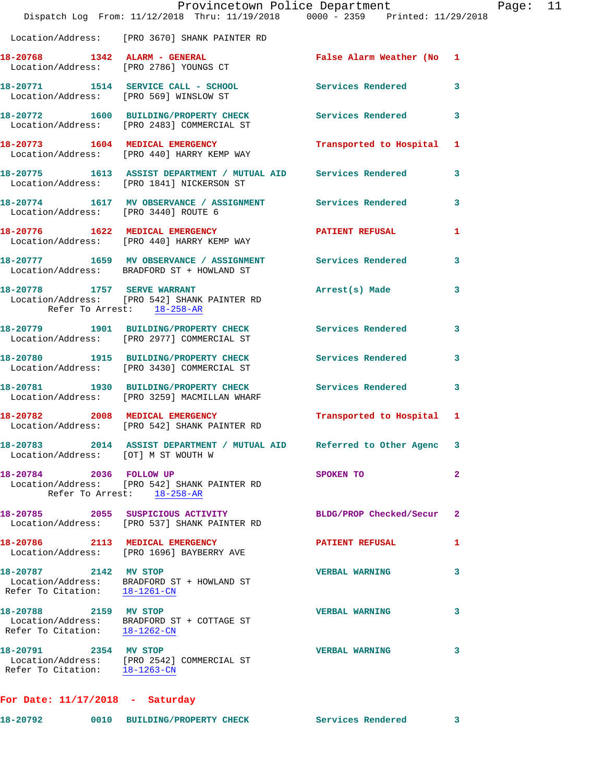|                                                        | Provincetown Police Department<br>Dispatch Log From: $11/12/2018$ Thru: $11/19/2018$ 0000 - 2359 Printed: $11/29/2018$ |                           | Page: 11       |  |
|--------------------------------------------------------|------------------------------------------------------------------------------------------------------------------------|---------------------------|----------------|--|
|                                                        | Location/Address: [PRO 3670] SHANK PAINTER RD                                                                          |                           |                |  |
|                                                        | 18-20768 1342 ALARM - GENERAL<br>Location/Address: [PRO 2786] YOUNGS CT                                                | False Alarm Weather (No 1 |                |  |
|                                                        | 18-20771 1514 SERVICE CALL - SCHOOL Services Rendered 3<br>Location/Address: [PRO 569] WINSLOW ST                      |                           |                |  |
|                                                        | 18-20772 1600 BUILDING/PROPERTY CHECK Services Rendered 3<br>Location/Address: [PRO 2483] COMMERCIAL ST                |                           |                |  |
|                                                        | 18-20773 1604 MEDICAL EMERGENCY Transported to Hospital 1<br>Location/Address: [PRO 440] HARRY KEMP WAY                |                           |                |  |
|                                                        | 18-20775   1613   ASSIST DEPARTMENT / MUTUAL AID   Services Rendered   3<br>Location/Address: [PRO 1841] NICKERSON ST  |                           |                |  |
|                                                        | 18-20774 1617 MV OBSERVANCE / ASSIGNMENT Services Rendered<br>Location/Address: [PRO 3440] ROUTE 6                     |                           | 3              |  |
|                                                        | 18-20776 1622 MEDICAL EMERGENCY PATIENT REFUSAL 1<br>Location/Address: [PRO 440] HARRY KEMP WAY                        |                           |                |  |
|                                                        | 18-20777 1659 MV OBSERVANCE / ASSIGNMENT Services Rendered<br>Location/Address: BRADFORD ST + HOWLAND ST               |                           | 3              |  |
| Refer To Arrest: 18-258-AR                             | 18-20778 1757 SERVE WARRANT<br>Location/Address: [PRO 542] SHANK PAINTER RD                                            | Arrest(s) Made 3          |                |  |
|                                                        | 18-20779 1901 BUILDING/PROPERTY CHECK Services Rendered<br>Location/Address: [PRO 2977] COMMERCIAL ST                  |                           | 3              |  |
|                                                        | 18-20780 1915 BUILDING/PROPERTY CHECK Services Rendered<br>Location/Address: [PRO 3430] COMMERCIAL ST                  |                           | 3              |  |
|                                                        | 18-20781 1930 BUILDING/PROPERTY CHECK Services Rendered<br>Location/Address: [PRO 3259] MACMILLAN WHARF                |                           | $\mathbf{3}$   |  |
|                                                        | 18-20782 2008 MEDICAL EMERGENCY<br>Location/Address: [PRO 542] SHANK PAINTER RD                                        | Transported to Hospital 1 |                |  |
| Location/Address: [OT] M ST WOUTH W                    | 18-20783 2014 ASSIST DEPARTMENT / MUTUAL AID Referred to Other Agenc 3                                                 |                           |                |  |
| 18-20784 2036 FOLLOW UP                                | Location/Address: [PRO 542] SHANK PAINTER RD<br>Refer To Arrest: 18-258-AR                                             | SPOKEN TO                 | $\overline{2}$ |  |
|                                                        | 18-20785 2055 SUSPICIOUS ACTIVITY<br>Location/Address: [PRO 537] SHANK PAINTER RD                                      | BLDG/PROP Checked/Secur   | -2             |  |
|                                                        | 18-20786 2113 MEDICAL EMERGENCY<br>Location/Address: [PRO 1696] BAYBERRY AVE                                           | <b>PATIENT REFUSAL</b>    | 1              |  |
| 18-20787 2142 MV STOP<br>Refer To Citation: 18-1261-CN | Location/Address: BRADFORD ST + HOWLAND ST                                                                             | <b>VERBAL WARNING</b>     | 3              |  |
| 18-20788 2159 MV STOP<br>Refer To Citation: 18-1262-CN | Location/Address: BRADFORD ST + COTTAGE ST                                                                             | <b>VERBAL WARNING</b>     | 3              |  |
| 18-20791 2354 MV STOP                                  | Location/Address: [PRO 2542] COMMERCIAL ST<br>Refer To Citation: 18-1263-CN                                            | <b>VERBAL WARNING</b>     | 3              |  |
|                                                        |                                                                                                                        |                           |                |  |

**For Date: 11/17/2018 - Saturday**

| 18-20792 |  | 0010 BUILDING/PROPERTY CHECK |  |  | Services Rendered |  |
|----------|--|------------------------------|--|--|-------------------|--|
|----------|--|------------------------------|--|--|-------------------|--|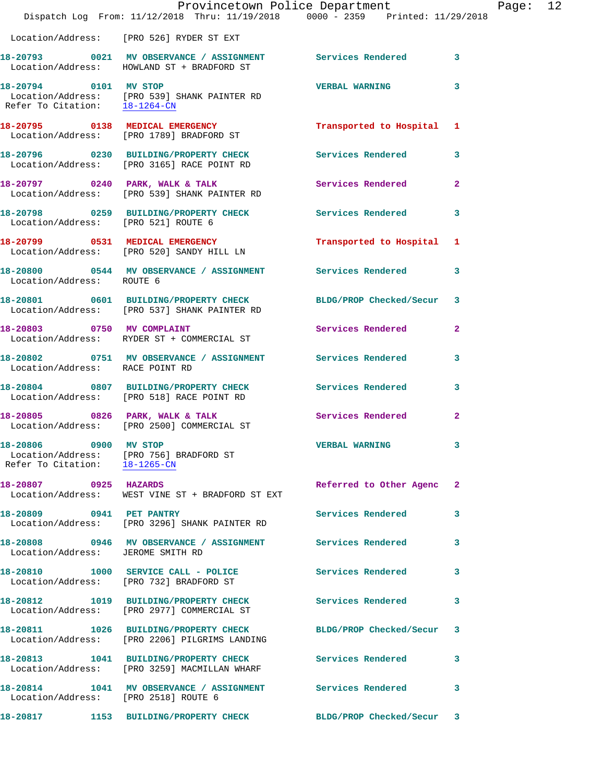|                                                        | Provincetown Police Department<br>Dispatch Log From: 11/12/2018 Thru: 11/19/2018 0000 - 2359 Printed: 11/29/2018 |                          |                |
|--------------------------------------------------------|------------------------------------------------------------------------------------------------------------------|--------------------------|----------------|
|                                                        | Location/Address: [PRO 526] RYDER ST EXT                                                                         |                          |                |
|                                                        | 18-20793 0021 MV OBSERVANCE / ASSIGNMENT Services Rendered<br>Location/Address: HOWLAND ST + BRADFORD ST         |                          | 3              |
|                                                        | 18-20794 0101 MV STOP<br>Location/Address: [PRO 539] SHANK PAINTER RD<br>Refer To Citation: $18-1264-CN$         | <b>VERBAL WARNING</b>    | 3              |
|                                                        | 18-20795 0138 MEDICAL EMERGENCY<br>Location/Address: [PRO 1789] BRADFORD ST                                      | Transported to Hospital  | 1              |
|                                                        | 18-20796 0230 BUILDING/PROPERTY CHECK<br>Location/Address: [PRO 3165] RACE POINT RD                              | Services Rendered        | 3              |
|                                                        | 18-20797 0240 PARK, WALK & TALK<br>Location/Address: [PRO 539] SHANK PAINTER RD                                  | Services Rendered        | $\mathbf{2}$   |
| Location/Address: [PRO 521] ROUTE 6                    | 18-20798 0259 BUILDING/PROPERTY CHECK                                                                            | <b>Services Rendered</b> | 3              |
|                                                        | 18-20799 0531 MEDICAL EMERGENCY<br>Location/Address: [PRO 520] SANDY HILL LN                                     | Transported to Hospital  | 1              |
| Location/Address: ROUTE 6                              | 18-20800 0544 MV OBSERVANCE / ASSIGNMENT Services Rendered                                                       |                          | 3              |
|                                                        | 18-20801 0601 BUILDING/PROPERTY CHECK<br>Location/Address: [PRO 537] SHANK PAINTER RD                            | BLDG/PROP Checked/Secur  | 3              |
| 18-20803 0750 MV COMPLAINT                             | Location/Address: RYDER ST + COMMERCIAL ST                                                                       | Services Rendered        | $\overline{a}$ |
| Location/Address: RACE POINT RD                        | 18-20802 0751 MV OBSERVANCE / ASSIGNMENT Services Rendered                                                       |                          | 3              |
|                                                        | 18-20804 0807 BUILDING/PROPERTY CHECK Services Rendered<br>Location/Address: [PRO 518] RACE POINT RD             |                          | 3              |
|                                                        | 18-20805 0826 PARK, WALK & TALK<br>Location/Address: [PRO 2500] COMMERCIAL ST                                    | <b>Services Rendered</b> | $\mathbf{2}$   |
| 18-20806 0900 MV STOP<br>Refer To Citation: 18-1265-CN | Location/Address: [PRO 756] BRADFORD ST                                                                          | <b>VERBAL WARNING</b>    | 3              |
| 18-20807 0925 HAZARDS                                  | Location/Address: WEST VINE ST + BRADFORD ST EXT                                                                 | Referred to Other Agenc  | $\mathbf{2}$   |
| 18-20809 0941 PET PANTRY                               | Location/Address: [PRO 3296] SHANK PAINTER RD                                                                    | Services Rendered        | 3              |
| Location/Address: JEROME SMITH RD                      | 18-20808 0946 MV OBSERVANCE / ASSIGNMENT Services Rendered                                                       |                          | 3              |
| 18-20810                                               | 1000 SERVICE CALL - POLICE<br>Location/Address: [PRO 732] BRADFORD ST                                            | <b>Services Rendered</b> | 3              |
|                                                        | 18-20812 1019 BUILDING/PROPERTY CHECK<br>Location/Address: [PRO 2977] COMMERCIAL ST                              | <b>Services Rendered</b> | 3              |
|                                                        | 18-20811 1026 BUILDING/PROPERTY CHECK<br>Location/Address: [PRO 2206] PILGRIMS LANDING                           | BLDG/PROP Checked/Secur  | 3              |
|                                                        | 18-20813 1041 BUILDING/PROPERTY CHECK<br>Location/Address: [PRO 3259] MACMILLAN WHARF                            | Services Rendered        | 3              |
| Location/Address: [PRO 2518] ROUTE 6                   | 18-20814 1041 MV OBSERVANCE / ASSIGNMENT Services Rendered                                                       |                          | 3              |
| 18-20817                                               | 1153 BUILDING/PROPERTY CHECK BLDG/PROP Checked/Secur                                                             |                          | 3              |

Page: 12<br>D18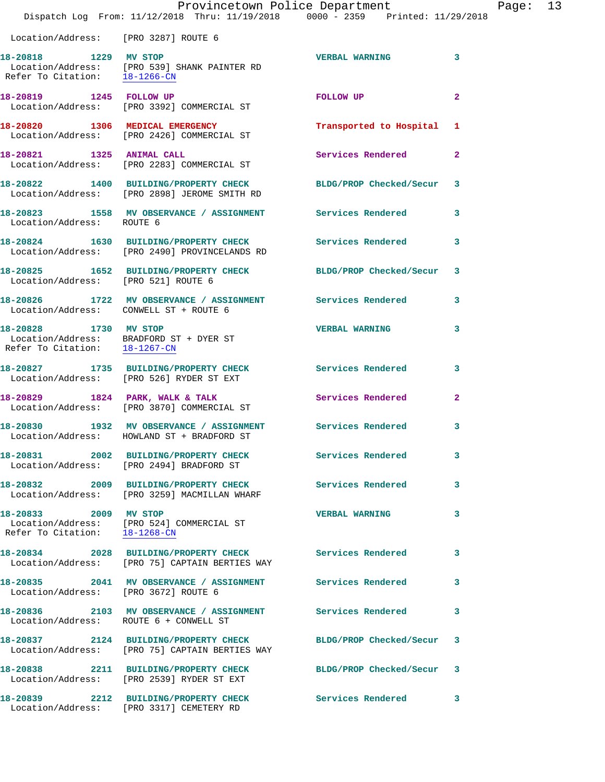|                                                        | Dispatch Log From: 11/12/2018 Thru: 11/19/2018 0000 - 2359 Printed: 11/29/2018                                  | Provincetown Police Department |                | Page: 13 |  |
|--------------------------------------------------------|-----------------------------------------------------------------------------------------------------------------|--------------------------------|----------------|----------|--|
| Location/Address: [PRO 3287] ROUTE 6                   |                                                                                                                 |                                |                |          |  |
| 18-20818 1229 MV STOP                                  | Location/Address: [PRO 539] SHANK PAINTER RD<br>Refer To Citation: $\frac{18-1266-CN}{\ }$                      | <b>VERBAL WARNING</b>          | 3              |          |  |
|                                                        | 18-20819 1245 FOLLOW UP<br>Location/Address: [PRO 3392] COMMERCIAL ST                                           | FOLLOW UP                      | $\mathbf{2}$   |          |  |
|                                                        | 18-20820 1306 MEDICAL EMERGENCY<br>Location/Address: [PRO 2426] COMMERCIAL ST                                   | Transported to Hospital 1      |                |          |  |
|                                                        | 18-20821 1325 ANIMAL CALL<br>Location/Address: [PRO 2283] COMMERCIAL ST                                         | Services Rendered              | $\overline{2}$ |          |  |
|                                                        | 18-20822 1400 BUILDING/PROPERTY CHECK<br>Location/Address: [PRO 2898] JEROME SMITH RD                           | BLDG/PROP Checked/Secur 3      |                |          |  |
| Location/Address: ROUTE 6                              | 18-20823 1558 MV OBSERVANCE / ASSIGNMENT Services Rendered                                                      |                                | 3              |          |  |
|                                                        | 18-20824 1630 BUILDING/PROPERTY CHECK Services Rendered<br>Location/Address: [PRO 2490] PROVINCELANDS RD        |                                | 3              |          |  |
| Location/Address: [PRO 521] ROUTE 6                    | 18-20825 1652 BUILDING/PROPERTY CHECK BLDG/PROP Checked/Secur 3                                                 |                                |                |          |  |
| Location/Address: CONWELL ST + ROUTE 6                 | 18-20826 1722 MV OBSERVANCE / ASSIGNMENT Services Rendered                                                      |                                | 3              |          |  |
| 18-20828 1730 MV STOP                                  | Location/Address: BRADFORD ST + DYER ST<br>Refer To Citation: $18-1267$ -CN                                     | <b>VERBAL WARNING</b>          | 3              |          |  |
|                                                        | 18-20827 1735 BUILDING/PROPERTY CHECK<br>Location/Address: [PRO 526] RYDER ST EXT                               | Services Rendered              | 3              |          |  |
|                                                        | 18-20829 1824 PARK, WALK & TALK<br>Location/Address: [PRO 3870] COMMERCIAL ST                                   | Services Rendered              | $\mathbf{2}$   |          |  |
|                                                        | 18-20830 1932 MV OBSERVANCE / ASSIGNMENT Services Rendered<br>Location/Address: HOWLAND ST + BRADFORD ST        |                                | 3              |          |  |
|                                                        | 18-20831 2002 BUILDING/PROPERTY CHECK<br>Location/Address: [PRO 2494] BRADFORD ST                               | Services Rendered              | 3              |          |  |
|                                                        | 18-20832 2009 BUILDING/PROPERTY CHECK Services Rendered<br>Location/Address: [PRO 3259] MACMILLAN WHARF         |                                | 3              |          |  |
| 18-20833 2009 MV STOP<br>Refer To Citation: 18-1268-CN | Location/Address: [PRO 524] COMMERCIAL ST                                                                       | <b>VERBAL WARNING</b>          | 3              |          |  |
|                                                        | 18-20834  2028  BUILDING/PROPERTY CHECK  Services Rendered<br>Location/Address: [PRO 75] CAPTAIN BERTIES WAY    |                                | 3              |          |  |
| Location/Address: [PRO 3672] ROUTE 6                   | 18-20835 2041 MV OBSERVANCE / ASSIGNMENT Services Rendered                                                      |                                | 3              |          |  |
| Location/Address: ROUTE 6 + CONWELL ST                 | 18-20836 2103 MV OBSERVANCE / ASSIGNMENT Services Rendered                                                      |                                | 3              |          |  |
|                                                        | 18-20837 2124 BUILDING/PROPERTY CHECK BLDG/PROP Checked/Secur<br>Location/Address: [PRO 75] CAPTAIN BERTIES WAY |                                | 3              |          |  |
|                                                        | 18-20838 2211 BUILDING/PROPERTY CHECK<br>Location/Address: [PRO 2539] RYDER ST EXT                              | BLDG/PROP Checked/Secur 3      |                |          |  |
|                                                        | 18-20839 2212 BUILDING/PROPERTY CHECK                                                                           | Services Rendered 3            |                |          |  |

Location/Address: [PRO 3317] CEMETERY RD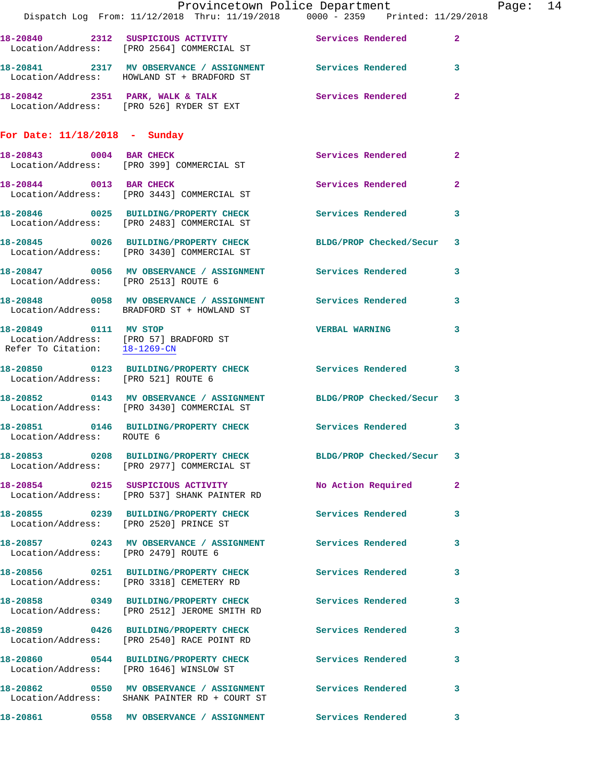|                               | Provincetown Police Department                                                                                 |                          |                |
|-------------------------------|----------------------------------------------------------------------------------------------------------------|--------------------------|----------------|
|                               | Dispatch Log From: 11/12/2018 Thru: 11/19/2018 0000 - 2359 Printed: 11/29/2018                                 |                          |                |
|                               | 18-20840 2312 SUSPICIOUS ACTIVITY Services Rendered<br>Location/Address: [PRO 2564] COMMERCIAL ST              |                          | $\mathbf{2}$   |
|                               | 18-20841 2317 MV OBSERVANCE / ASSIGNMENT Services Rendered<br>Location/Address: HOWLAND ST + BRADFORD ST       |                          | 3              |
|                               | 18-20842 2351 PARK, WALK & TALK<br>Location/Address: [PRO 526] RYDER ST EXT                                    | Services Rendered        | $\mathbf{2}$   |
| For Date: 11/18/2018 - Sunday |                                                                                                                |                          |                |
|                               | 18-20843 0004 BAR CHECK<br>Location/Address: [PRO 399] COMMERCIAL ST                                           | <b>Services Rendered</b> | $\mathbf{2}$   |
| 18-20844 0013 BAR CHECK       | Location/Address: [PRO 3443] COMMERCIAL ST                                                                     | Services Rendered        | $\mathbf{2}$   |
|                               | 18-20846 0025 BUILDING/PROPERTY CHECK<br>Location/Address: [PRO 2483] COMMERCIAL ST                            | Services Rendered        | 3              |
|                               | 18-20845 0026 BUILDING/PROPERTY CHECK BLDG/PROP Checked/Secur<br>Location/Address: [PRO 3430] COMMERCIAL ST    |                          | 3              |
|                               | 18-20847 0056 MV OBSERVANCE / ASSIGNMENT Services Rendered<br>Location/Address: [PRO 2513] ROUTE 6             |                          | 3              |
|                               | 18-20848 0058 MV OBSERVANCE / ASSIGNMENT Services Rendered<br>Location/Address: BRADFORD ST + HOWLAND ST       |                          | 3              |
| 18-20849 0111 MV STOP         | Location/Address: [PRO 57] BRADFORD ST<br>Refer To Citation: 18-1269-CN                                        | <b>VERBAL WARNING</b>    | 3              |
|                               | 18-20850 0123 BUILDING/PROPERTY CHECK Services Rendered<br>Location/Address: [PRO 521] ROUTE 6                 |                          | 3              |
|                               | 18-20852 0143 MV OBSERVANCE / ASSIGNMENT BLDG/PROP Checked/Secur<br>Location/Address: [PRO 3430] COMMERCIAL ST |                          | 3              |
| Location/Address: ROUTE 6     | 18-20851 0146 BUILDING/PROPERTY CHECK Services Rendered                                                        |                          | 3              |
|                               | 18-20853 0208 BUILDING/PROPERTY CHECK BLDG/PROP Checked/Secur<br>Location/Address: [PRO 2977] COMMERCIAL ST    |                          | 3              |
|                               | 18-20854 0215 SUSPICIOUS ACTIVITY<br>Location/Address: [PRO 537] SHANK PAINTER RD                              | No Action Required       | $\mathbf{2}$   |
|                               | 18-20855 0239 BUILDING/PROPERTY CHECK Services Rendered<br>Location/Address: [PRO 2520] PRINCE ST              |                          | 3              |
|                               | 18-20857 0243 MV OBSERVANCE / ASSIGNMENT Services Rendered<br>Location/Address: [PRO 2479] ROUTE 6             |                          | 3              |
|                               | 18-20856 0251 BUILDING/PROPERTY CHECK Services Rendered<br>Location/Address: [PRO 3318] CEMETERY RD            |                          | 3              |
|                               | 18-20858 0349 BUILDING/PROPERTY CHECK Services Rendered<br>Location/Address: [PRO 2512] JEROME SMITH RD        |                          | 3              |
|                               | 18-20859 0426 BUILDING/PROPERTY CHECK Services Rendered<br>Location/Address: [PRO 2540] RACE POINT RD          |                          | 3              |
|                               | 18-20860 0544 BUILDING/PROPERTY CHECK<br>Location/Address: [PRO 1646] WINSLOW ST                               | Services Rendered        | 3              |
|                               | 18-20862 0550 MV OBSERVANCE / ASSIGNMENT Services Rendered<br>Location/Address: SHANK PAINTER RD + COURT ST    |                          | 3              |
|                               |                                                                                                                |                          | 3 <sup>7</sup> |

Page: 14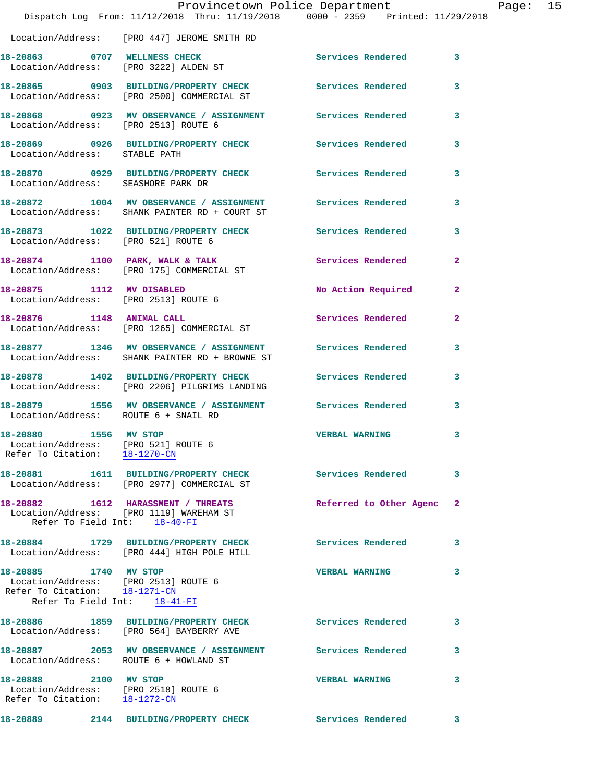|                                                        | Provincetown Police Department                                                                                | Dispatch Log From: 11/12/2018 Thru: 11/19/2018 0000 - 2359 Printed: 11/29/2018                        |                |
|--------------------------------------------------------|---------------------------------------------------------------------------------------------------------------|-------------------------------------------------------------------------------------------------------|----------------|
|                                                        | Location/Address: [PRO 447] JEROME SMITH RD                                                                   |                                                                                                       |                |
|                                                        | 18-20863 0707 WELLNESS CHECK<br>Location/Address: [PRO 3222] ALDEN ST                                         | Services Rendered                                                                                     | 3              |
|                                                        |                                                                                                               | 18-20865 0903 BUILDING/PROPERTY CHECK Services Rendered<br>Location/Address: [PRO 2500] COMMERCIAL ST | 3              |
|                                                        | 18-20868 0923 MV OBSERVANCE / ASSIGNMENT<br>Location/Address: [PRO 2513] ROUTE 6                              | <b>Services Rendered</b>                                                                              | 3              |
| Location/Address: STABLE PATH                          | 18-20869 0926 BUILDING/PROPERTY CHECK                                                                         | <b>Services Rendered</b>                                                                              | 3              |
|                                                        | 18-20870 0929 BUILDING/PROPERTY CHECK Services Rendered<br>Location/Address: SEASHORE PARK DR                 |                                                                                                       | 3              |
|                                                        | 18-20872 1004 MV OBSERVANCE / ASSIGNMENT Services Rendered<br>Location/Address: SHANK PAINTER RD + COURT ST   |                                                                                                       | 3              |
|                                                        | 18-20873 1022 BUILDING/PROPERTY CHECK<br>Location/Address: [PRO 521] ROUTE 6                                  | Services Rendered                                                                                     | 3              |
|                                                        | 18-20874 1100 PARK, WALK & TALK<br>Location/Address: [PRO 175] COMMERCIAL ST                                  | <b>Services Rendered</b>                                                                              | $\overline{a}$ |
|                                                        | 18-20875 1112 MV DISABLED<br>Location/Address: [PRO 2513] ROUTE 6                                             | No Action Required                                                                                    | $\mathbf{2}$   |
| 18-20876 1148 ANIMAL CALL                              | Location/Address: [PRO 1265] COMMERCIAL ST                                                                    | Services Rendered                                                                                     | $\mathbf{2}$   |
|                                                        | Location/Address: SHANK PAINTER RD + BROWNE ST                                                                | 18-20877 1346 MV OBSERVANCE / ASSIGNMENT Services Rendered                                            | 3              |
|                                                        | 18-20878 1402 BUILDING/PROPERTY CHECK<br>Location/Address: [PRO 2206] PILGRIMS LANDING                        | Services Rendered                                                                                     | 3              |
|                                                        | Location/Address: ROUTE 6 + SNAIL RD                                                                          | 18-20879 1556 MV OBSERVANCE / ASSIGNMENT Services Rendered                                            | 3              |
| 18-20880 1556 MV STOP<br>Refer To Citation: 18-1270-CN | Location/Address: [PRO 521] ROUTE 6                                                                           | <b>VERBAL WARNING</b>                                                                                 | 3              |
|                                                        | 18-20881 1611 BUILDING/PROPERTY CHECK<br>Location/Address: [PRO 2977] COMMERCIAL ST                           | Services Rendered                                                                                     | 3              |
|                                                        | 18-20882 1612 HARASSMENT / THREATS<br>Location/Address: [PRO 1119] WAREHAM ST<br>Refer To Field Int: 18-40-FI | Referred to Other Agenc                                                                               | $\mathbf{2}$   |
| 18-20884                                               | 1729 BUILDING/PROPERTY CHECK<br>Location/Address: [PRO 444] HIGH POLE HILL                                    | Services Rendered                                                                                     | 3              |
| 18-20885 1740 MV STOP<br>Refer To Citation: 18-1271-CN | Location/Address: [PRO 2513] ROUTE 6<br>Refer To Field Int: 18-41-FI                                          | <b>VERBAL WARNING</b>                                                                                 | 3              |
|                                                        | 18-20886 1859 BUILDING/PROPERTY CHECK<br>Location/Address: [PRO 564] BAYBERRY AVE                             | <b>Services Rendered</b>                                                                              | 3              |
|                                                        | 18-20887 2053 MV OBSERVANCE / ASSIGNMENT<br>Location/Address: ROUTE 6 + HOWLAND ST                            | Services Rendered                                                                                     | 3              |
| 18-20888 2100 MV STOP                                  | Location/Address: [PRO 2518] ROUTE 6<br>Refer To Citation: 18-1272-CN                                         | <b>VERBAL WARNING</b>                                                                                 | 3              |
| 18-20889                                               | 2144 BUILDING/PROPERTY CHECK                                                                                  | Services Rendered                                                                                     | 3              |

Page: 15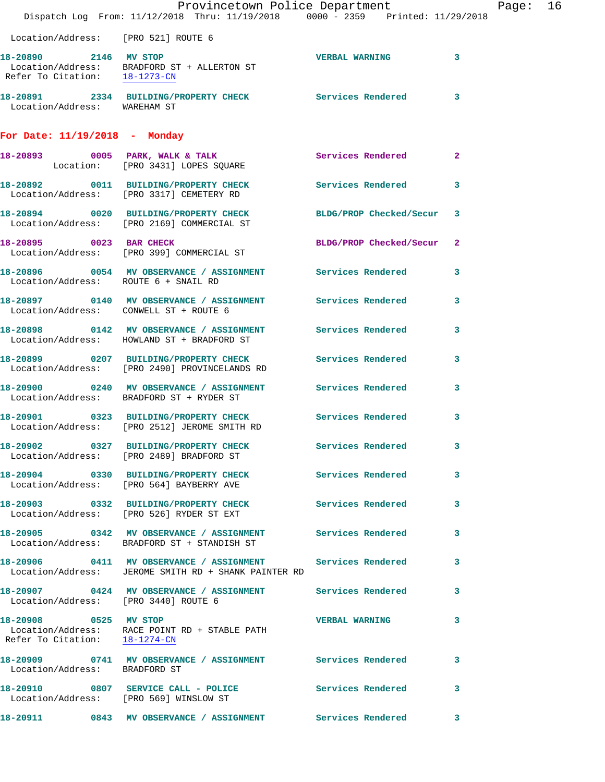|                                        | Provincetown Police Department                                                                                       |                           |                         | Page: 16 |  |
|----------------------------------------|----------------------------------------------------------------------------------------------------------------------|---------------------------|-------------------------|----------|--|
|                                        | Dispatch Log From: 11/12/2018 Thru: 11/19/2018 0000 - 2359 Printed: 11/29/2018                                       |                           |                         |          |  |
| Location/Address: [PRO 521] ROUTE 6    |                                                                                                                      |                           |                         |          |  |
| 18-20890 2146 MV STOP                  | Location/Address: BRADFORD ST + ALLERTON ST<br>Refer To Citation: $\frac{18-1273-CN}{18-1273-CN}$                    | <b>VERBAL WARNING 3</b>   |                         |          |  |
| Location/Address: WAREHAM ST           | 18-20891 2334 BUILDING/PROPERTY CHECK Services Rendered 3                                                            |                           |                         |          |  |
| For Date: 11/19/2018 - Monday          |                                                                                                                      |                           |                         |          |  |
|                                        | 18-20893 0005 PARK, WALK & TALK Services Rendered 2<br>Location: [PRO 3431] LOPES SQUARE                             |                           |                         |          |  |
|                                        | 18-20892 0011 BUILDING/PROPERTY CHECK Services Rendered<br>Location/Address: [PRO 3317] CEMETERY RD                  |                           | $\mathbf{3}$            |          |  |
|                                        | 18-20894 0020 BUILDING/PROPERTY CHECK BLDG/PROP Checked/Secur 3<br>Location/Address: [PRO 2169] COMMERCIAL ST        |                           |                         |          |  |
|                                        | 18-20895 0023 BAR CHECK<br>Location/Address: [PRO 399] COMMERCIAL ST                                                 | BLDG/PROP Checked/Secur 2 |                         |          |  |
|                                        | 18-20896 0054 MV OBSERVANCE / ASSIGNMENT Services Rendered 3<br>Location/Address: ROUTE 6 + SNAIL RD                 |                           |                         |          |  |
| Location/Address: CONWELL ST + ROUTE 6 | 18-20897 0140 MV OBSERVANCE / ASSIGNMENT Services Rendered 3                                                         |                           |                         |          |  |
|                                        | 18-20898 0142 MV OBSERVANCE / ASSIGNMENT Services Rendered 3<br>Location/Address: HOWLAND ST + BRADFORD ST           |                           |                         |          |  |
|                                        | 18-20899 0207 BUILDING/PROPERTY CHECK Services Rendered<br>Location/Address: [PRO 2490] PROVINCELANDS RD             |                           | $\overline{\mathbf{3}}$ |          |  |
|                                        | 18-20900 0240 MV OBSERVANCE / ASSIGNMENT Services Rendered 3<br>Location/Address: BRADFORD ST + RYDER ST             |                           |                         |          |  |
|                                        | 18-20901 0323 BUILDING/PROPERTY CHECK Services Rendered 3<br>Location/Address: [PRO 2512] JEROME SMITH RD            |                           |                         |          |  |
|                                        | 18-20902 0327 BUILDING/PROPERTY CHECK<br>Location/Address: [PRO 2489] BRADFORD ST                                    | Services Rendered 3       |                         |          |  |
|                                        | 18-20904 0330 BUILDING/PROPERTY CHECK Services Rendered 3<br>Location/Address: [PRO 564] BAYBERRY AVE                |                           |                         |          |  |
|                                        | 18-20903 0332 BUILDING/PROPERTY CHECK Services Rendered 3<br>Location/Address: [PRO 526] RYDER ST EXT                |                           |                         |          |  |
|                                        | 18-20905 0342 MV OBSERVANCE / ASSIGNMENT Services Rendered 3<br>Location/Address: BRADFORD ST + STANDISH ST          |                           |                         |          |  |
|                                        | 18-20906 0411 MV OBSERVANCE / ASSIGNMENT Services Rendered 3<br>Location/Address: JEROME SMITH RD + SHANK PAINTER RD |                           |                         |          |  |
| Location/Address: [PRO 3440] ROUTE 6   | 18-20907 0424 MV OBSERVANCE / ASSIGNMENT Services Rendered 3                                                         |                           |                         |          |  |
| 18-20908 0525 MV STOP                  | Location/Address: RACE POINT RD + STABLE PATH<br>Refer To Citation: $\frac{18-1274-CN}{\ }$                          | VERBAL WARNING 3          |                         |          |  |
| Location/Address: BRADFORD ST          | 18-20909 0741 MV OBSERVANCE / ASSIGNMENT Services Rendered 3                                                         |                           |                         |          |  |
|                                        | 18-20910 0807 SERVICE CALL - POLICE Services Rendered 3<br>Location/Address: [PRO 569] WINSLOW ST                    |                           |                         |          |  |
|                                        | 18-20911 0843 MV OBSERVANCE / ASSIGNMENT Services Rendered 3                                                         |                           |                         |          |  |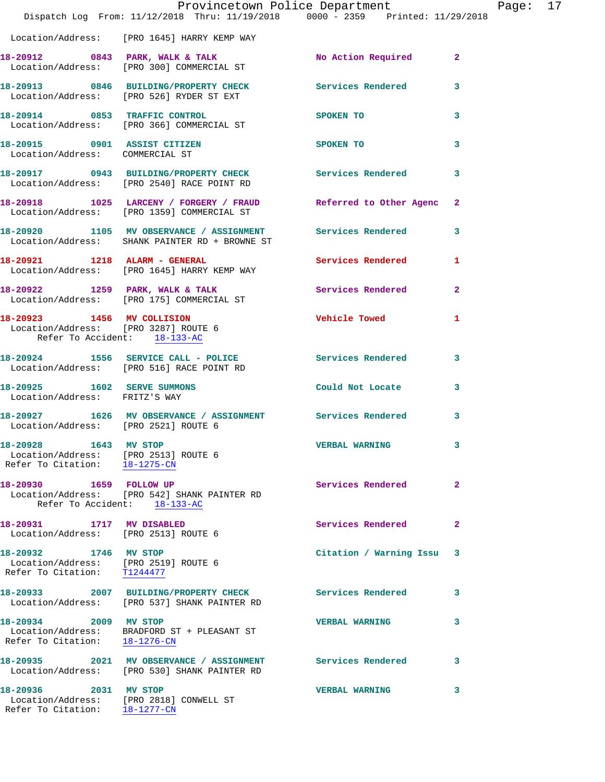|                                                                                                | Provincetown Police Department                                                                      |                          |                |
|------------------------------------------------------------------------------------------------|-----------------------------------------------------------------------------------------------------|--------------------------|----------------|
|                                                                                                | Dispatch Log From: 11/12/2018 Thru: 11/19/2018 0000 - 2359 Printed: 11/29/2018                      |                          |                |
|                                                                                                | Location/Address: [PRO 1645] HARRY KEMP WAY                                                         |                          |                |
|                                                                                                | 18-20912 0843 PARK, WALK & TALK<br>Location/Address: [PRO 300] COMMERCIAL ST                        | No Action Required       | $\overline{2}$ |
|                                                                                                | 18-20913 0846 BUILDING/PROPERTY CHECK Services Rendered<br>Location/Address: [PRO 526] RYDER ST EXT |                          | 3              |
|                                                                                                | 18-20914 0853 TRAFFIC CONTROL<br>Location/Address: [PRO 366] COMMERCIAL ST                          | SPOKEN TO                | 3              |
| 18-20915 0901 ASSIST CITIZEN<br>Location/Address: COMMERCIAL ST                                |                                                                                                     | SPOKEN TO                | 3              |
|                                                                                                | 18-20917 0943 BUILDING/PROPERTY CHECK<br>Location/Address: [PRO 2540] RACE POINT RD                 | Services Rendered        | 3              |
|                                                                                                | 18-20918 1025 LARCENY / FORGERY / FRAUD<br>Location/Address: [PRO 1359] COMMERCIAL ST               | Referred to Other Agenc  | $\mathbf{2}$   |
|                                                                                                | 18-20920 1105 MV OBSERVANCE / ASSIGNMENT<br>Location/Address: SHANK PAINTER RD + BROWNE ST          | Services Rendered        | 3              |
|                                                                                                | 18-20921 1218 ALARM - GENERAL<br>Location/Address: [PRO 1645] HARRY KEMP WAY                        | <b>Services Rendered</b> | 1              |
|                                                                                                | 18-20922 1259 PARK, WALK & TALK<br>Location/Address: [PRO 175] COMMERCIAL ST                        | Services Rendered        | $\overline{a}$ |
| Location/Address: [PRO 3287] ROUTE 6<br>Refer To Accident: 18-133-AC                           | 18-20923 1456 MV COLLISION                                                                          | <b>Vehicle Towed</b>     | 1              |
|                                                                                                | 18-20924 1556 SERVICE CALL - POLICE Services Rendered                                               |                          | 3              |
|                                                                                                | Location/Address: [PRO 516] RACE POINT RD                                                           |                          |                |
| Location/Address: FRITZ'S WAY                                                                  | 18-20925 1602 SERVE SUMMONS                                                                         | Could Not Locate         | 3              |
| Location/Address: [PRO 2521] ROUTE 6                                                           | 18-20927 1626 MV OBSERVANCE / ASSIGNMENT Services Rendered                                          |                          | 3              |
| 18-20928 1643 MV STOP<br>Location/Address: [PRO 2513] ROUTE 6<br>Refer To Citation: 18-1275-CN |                                                                                                     | <b>VERBAL WARNING</b>    | 3              |
| 18-20930  1659  FOLLOW UP                                                                      | Location/Address: [PRO 542] SHANK PAINTER RD<br>Refer To Accident: 18-133-AC                        | Services Rendered        | $\overline{2}$ |
| 18-20931 1717 MV DISABLED<br>Location/Address: [PRO 2513] ROUTE 6                              |                                                                                                     | <b>Services Rendered</b> | $\mathbf{2}$   |
| 18-20932 1746 MV STOP<br>Location/Address: [PRO 2519] ROUTE 6<br>Refer To Citation: T1244477   |                                                                                                     | Citation / Warning Issu  | 3              |
|                                                                                                | 18-20933 2007 BUILDING/PROPERTY CHECK<br>Location/Address: [PRO 537] SHANK PAINTER RD               | <b>Services Rendered</b> | 3              |
| 18-20934 2009 MV STOP<br>Refer To Citation: 18-1276-CN                                         | Location/Address: BRADFORD ST + PLEASANT ST                                                         | <b>VERBAL WARNING</b>    | 3              |
|                                                                                                | 18-20935 2021 MV OBSERVANCE / ASSIGNMENT<br>Location/Address: [PRO 530] SHANK PAINTER RD            | <b>Services Rendered</b> | 3              |
| 18-20936 2031 MV STOP                                                                          | Location/Address: [PRO 2818] CONWELL ST<br>Refer To Citation: 18-1277-CN                            | <b>VERBAL WARNING</b>    | 3              |

Page: 17